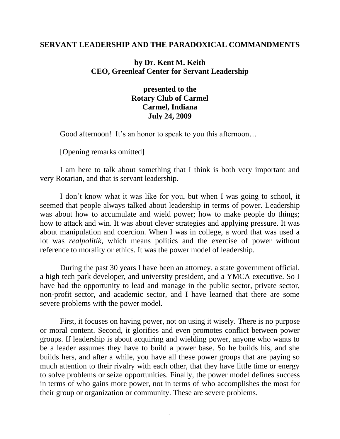### **SERVANT LEADERSHIP AND THE PARADOXICAL COMMANDMENTS**

# **by Dr. Kent M. Keith CEO, Greenleaf Center for Servant Leadership**

# **presented to the Rotary Club of Carmel Carmel, Indiana July 24, 2009**

Good afternoon! It's an honor to speak to you this afternoon...

[Opening remarks omitted]

I am here to talk about something that I think is both very important and very Rotarian, and that is servant leadership.

I don't know what it was like for you, but when I was going to school, it seemed that people always talked about leadership in terms of power. Leadership was about how to accumulate and wield power; how to make people do things; how to attack and win. It was about clever strategies and applying pressure. It was about manipulation and coercion. When I was in college, a word that was used a lot was *realpolitik*, which means politics and the exercise of power without reference to morality or ethics. It was the power model of leadership.

During the past 30 years I have been an attorney, a state government official, a high tech park developer, and university president, and a YMCA executive. So I have had the opportunity to lead and manage in the public sector, private sector, non-profit sector, and academic sector, and I have learned that there are some severe problems with the power model.

First, it focuses on having power, not on using it wisely. There is no purpose or moral content. Second, it glorifies and even promotes conflict between power groups. If leadership is about acquiring and wielding power, anyone who wants to be a leader assumes they have to build a power base. So he builds his, and she builds hers, and after a while, you have all these power groups that are paying so much attention to their rivalry with each other, that they have little time or energy to solve problems or seize opportunities. Finally, the power model defines success in terms of who gains more power, not in terms of who accomplishes the most for their group or organization or community. These are severe problems.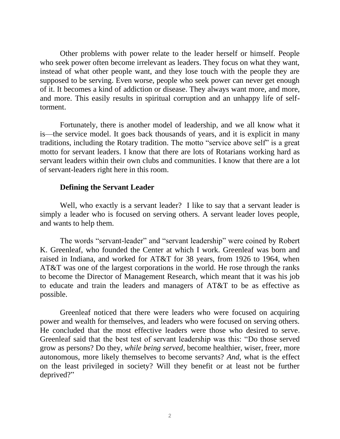Other problems with power relate to the leader herself or himself. People who seek power often become irrelevant as leaders. They focus on what they want, instead of what other people want, and they lose touch with the people they are supposed to be serving. Even worse, people who seek power can never get enough of it. It becomes a kind of addiction or disease. They always want more, and more, and more. This easily results in spiritual corruption and an unhappy life of selftorment.

Fortunately, there is another model of leadership, and we all know what it is—the service model. It goes back thousands of years, and it is explicit in many traditions, including the Rotary tradition. The motto "service above self" is a great motto for servant leaders. I know that there are lots of Rotarians working hard as servant leaders within their own clubs and communities. I know that there are a lot of servant-leaders right here in this room.

### **Defining the Servant Leader**

Well, who exactly is a servant leader? I like to say that a servant leader is simply a leader who is focused on serving others. A servant leader loves people, and wants to help them.

The words "servant-leader" and "servant leadership" were coined by Robert K. Greenleaf, who founded the Center at which I work. Greenleaf was born and raised in Indiana, and worked for AT&T for 38 years, from 1926 to 1964, when AT&T was one of the largest corporations in the world. He rose through the ranks to become the Director of Management Research, which meant that it was his job to educate and train the leaders and managers of AT&T to be as effective as possible.

Greenleaf noticed that there were leaders who were focused on acquiring power and wealth for themselves, and leaders who were focused on serving others. He concluded that the most effective leaders were those who desired to serve. Greenleaf said that the best test of servant leadership was this: "Do those served grow as persons? Do they, *while being served*, become healthier, wiser, freer, more autonomous, more likely themselves to become servants? *And*, what is the effect on the least privileged in society? Will they benefit or at least not be further deprived?"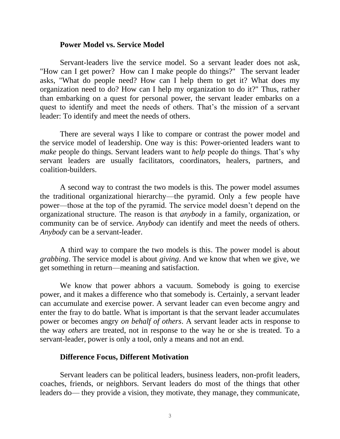#### **Power Model vs. Service Model**

Servant-leaders live the service model. So a servant leader does not ask, "How can I get power? How can I make people do things?" The servant leader asks, "What do people need? How can I help them to get it? What does my organization need to do? How can I help my organization to do it?" Thus, rather than embarking on a quest for personal power, the servant leader embarks on a quest to identify and meet the needs of others. That's the mission of a servant leader: To identify and meet the needs of others.

There are several ways I like to compare or contrast the power model and the service model of leadership. One way is this: Power-oriented leaders want to *make* people do things. Servant leaders want to *help* people do things. That's why servant leaders are usually facilitators, coordinators, healers, partners, and coalition-builders.

A second way to contrast the two models is this. The power model assumes the traditional organizational hierarchy—the pyramid. Only a few people have power—those at the top of the pyramid. The service model doesn't depend on the organizational structure. The reason is that *anybody* in a family, organization, or community can be of service. *Anybody* can identify and meet the needs of others. *Anybody* can be a servant-leader.

A third way to compare the two models is this. The power model is about *grabbing*. The service model is about *giving*. And we know that when we give, we get something in return—meaning and satisfaction.

We know that power abhors a vacuum. Somebody is going to exercise power, and it makes a difference who that somebody is. Certainly, a servant leader can accumulate and exercise power. A servant leader can even become angry and enter the fray to do battle. What is important is that the servant leader accumulates power or becomes angry *on behalf of others*. A servant leader acts in response to the way *others* are treated, not in response to the way he or she is treated. To a servant-leader, power is only a tool, only a means and not an end.

### **Difference Focus, Different Motivation**

Servant leaders can be political leaders, business leaders, non-profit leaders, coaches, friends, or neighbors. Servant leaders do most of the things that other leaders do— they provide a vision, they motivate, they manage, they communicate,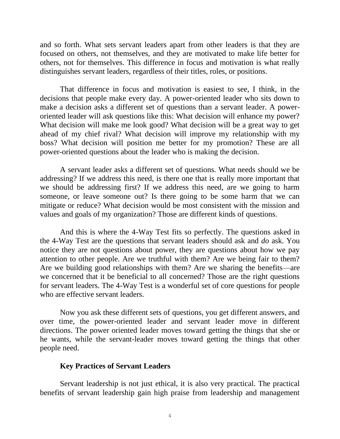and so forth. What sets servant leaders apart from other leaders is that they are focused on others, not themselves, and they are motivated to make life better for others, not for themselves. This difference in focus and motivation is what really distinguishes servant leaders, regardless of their titles, roles, or positions.

That difference in focus and motivation is easiest to see, I think, in the decisions that people make every day. A power-oriented leader who sits down to make a decision asks a different set of questions than a servant leader. A poweroriented leader will ask questions like this: What decision will enhance my power? What decision will make me look good? What decision will be a great way to get ahead of my chief rival? What decision will improve my relationship with my boss? What decision will position me better for my promotion? These are all power-oriented questions about the leader who is making the decision.

A servant leader asks a different set of questions. What needs should we be addressing? If we address this need, is there one that is really more important that we should be addressing first? If we address this need, are we going to harm someone, or leave someone out? Is there going to be some harm that we can mitigate or reduce? What decision would be most consistent with the mission and values and goals of my organization? Those are different kinds of questions.

And this is where the 4-Way Test fits so perfectly. The questions asked in the 4-Way Test are the questions that servant leaders should ask and *do* ask. You notice they are not questions about power, they are questions about how we pay attention to other people. Are we truthful with them? Are we being fair to them? Are we building good relationships with them? Are we sharing the benefits—are we concerned that it be beneficial to all concerned? Those are the right questions for servant leaders. The 4-Way Test is a wonderful set of core questions for people who are effective servant leaders.

Now you ask these different sets of questions, you get different answers, and over time, the power-oriented leader and servant leader move in different directions. The power oriented leader moves toward getting the things that she or he wants, while the servant-leader moves toward getting the things that other people need.

### **Key Practices of Servant Leaders**

Servant leadership is not just ethical, it is also very practical. The practical benefits of servant leadership gain high praise from leadership and management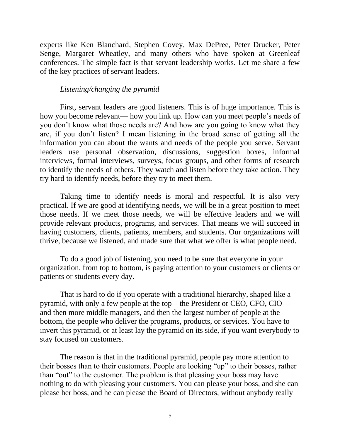experts like Ken Blanchard, Stephen Covey, Max DePree, Peter Drucker, Peter Senge, Margaret Wheatley, and many others who have spoken at Greenleaf conferences. The simple fact is that servant leadership works. Let me share a few of the key practices of servant leaders.

## *Listening/changing the pyramid*

First, servant leaders are good listeners. This is of huge importance. This is how you become relevant— how you link up. How can you meet people's needs of you don't know what those needs are? And how are you going to know what they are, if you don't listen? I mean listening in the broad sense of getting all the information you can about the wants and needs of the people you serve. Servant leaders use personal observation, discussions, suggestion boxes, informal interviews, formal interviews, surveys, focus groups, and other forms of research to identify the needs of others. They watch and listen before they take action. They try hard to identify needs, before they try to meet them.

Taking time to identify needs is moral and respectful. It is also very practical. If we are good at identifying needs, we will be in a great position to meet those needs. If we meet those needs, we will be effective leaders and we will provide relevant products, programs, and services. That means we will succeed in having customers, clients, patients, members, and students. Our organizations will thrive, because we listened, and made sure that what we offer is what people need.

To do a good job of listening, you need to be sure that everyone in your organization, from top to bottom, is paying attention to your customers or clients or patients or students every day.

That is hard to do if you operate with a traditional hierarchy, shaped like a pyramid, with only a few people at the top—the President or CEO, CFO, CIO and then more middle managers, and then the largest number of people at the bottom, the people who deliver the programs, products, or services. You have to invert this pyramid, or at least lay the pyramid on its side, if you want everybody to stay focused on customers.

The reason is that in the traditional pyramid, people pay more attention to their bosses than to their customers. People are looking "up" to their bosses, rather than "out" to the customer. The problem is that pleasing your boss may have nothing to do with pleasing your customers. You can please your boss, and she can please her boss, and he can please the Board of Directors, without anybody really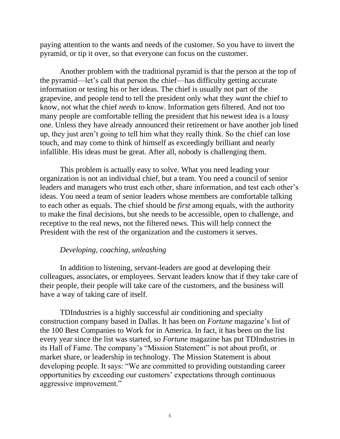paying attention to the wants and needs of the customer. So you have to invert the pyramid, or tip it over, so that everyone can focus on the customer.

Another problem with the traditional pyramid is that the person at the top of the pyramid—let's call that person the chief—has difficulty getting accurate information or testing his or her ideas. The chief is usually not part of the grapevine, and people tend to tell the president only what they *want* the chief to know, not what the chief *needs* to know. Information gets filtered. And not too many people are comfortable telling the president that his newest idea is a lousy one. Unless they have already announced their retirement or have another job lined up, they just aren't going to tell him what they really think. So the chief can lose touch, and may come to think of himself as exceedingly brilliant and nearly infallible. His ideas must be great. After all, nobody is challenging them.

This problem is actually easy to solve. What you need leading your organization is not an individual chief, but a team. You need a council of senior leaders and managers who trust each other, share information, and test each other's ideas. You need a team of senior leaders whose members are comfortable talking to each other as equals. The chief should be *first* among equals, with the authority to make the final decisions, but she needs to be accessible, open to challenge, and receptive to the real news, not the filtered news. This will help connect the President with the rest of the organization and the customers it serves.

#### *Developing, coaching, unleashing*

In addition to listening, servant-leaders are good at developing their colleagues, associates, or employees. Servant leaders know that if they take care of their people, their people will take care of the customers, and the business will have a way of taking care of itself.

TDIndustries is a highly successful air conditioning and specialty construction company based in Dallas. It has been on *Fortune* magazine's list of the 100 Best Companies to Work for in America. In fact, it has been on the list every year since the list was started, so *Fortune* magazine has put TDIndustries in its Hall of Fame. The company's "Mission Statement" is not about profit, or market share, or leadership in technology. The Mission Statement is about developing people. It says: "We are committed to providing outstanding career opportunities by exceeding our customers' expectations through continuous aggressive improvement."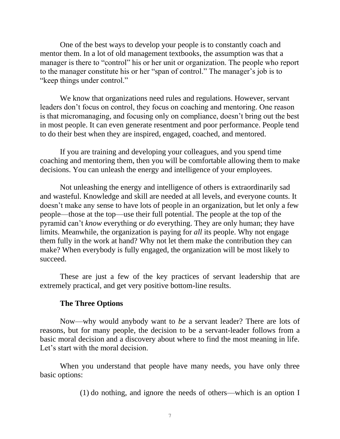One of the best ways to develop your people is to constantly coach and mentor them. In a lot of old management textbooks, the assumption was that a manager is there to "control" his or her unit or organization. The people who report to the manager constitute his or her "span of control." The manager's job is to "keep things under control."

We know that organizations need rules and regulations. However, servant leaders don't focus on control, they focus on coaching and mentoring. One reason is that micromanaging, and focusing only on compliance, doesn't bring out the best in most people. It can even generate resentment and poor performance. People tend to do their best when they are inspired, engaged, coached, and mentored.

If you are training and developing your colleagues, and you spend time coaching and mentoring them, then you will be comfortable allowing them to make decisions. You can unleash the energy and intelligence of your employees.

Not unleashing the energy and intelligence of others is extraordinarily sad and wasteful. Knowledge and skill are needed at all levels, and everyone counts. It doesn't make any sense to have lots of people in an organization, but let only a few people—those at the top—use their full potential. The people at the top of the pyramid can't *know* everything or *do* everything. They are only human; they have limits. Meanwhile, the organization is paying for *all* its people. Why not engage them fully in the work at hand? Why not let them make the contribution they can make? When everybody is fully engaged, the organization will be most likely to succeed.

These are just a few of the key practices of servant leadership that are extremely practical, and get very positive bottom-line results.

#### **The Three Options**

Now—why would anybody want to *be* a servant leader? There are lots of reasons, but for many people, the decision to be a servant-leader follows from a basic moral decision and a discovery about where to find the most meaning in life. Let's start with the moral decision.

When you understand that people have many needs, you have only three basic options:

(1) do nothing, and ignore the needs of others—which is an option I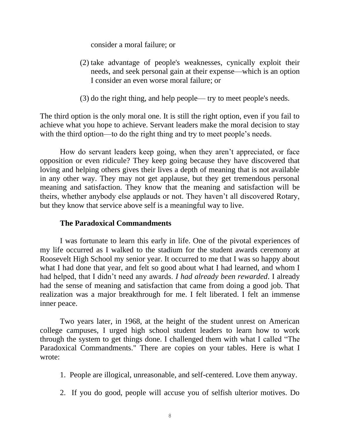consider a moral failure; or

- (2) take advantage of people's weaknesses, cynically exploit their needs, and seek personal gain at their expense—which is an option I consider an even worse moral failure; or
- (3) do the right thing, and help people— try to meet people's needs.

The third option is the only moral one. It is still the right option, even if you fail to achieve what you hope to achieve. Servant leaders make the moral decision to stay with the third option—to do the right thing and try to meet people's needs.

How do servant leaders keep going, when they aren't appreciated, or face opposition or even ridicule? They keep going because they have discovered that loving and helping others gives their lives a depth of meaning that is not available in any other way. They may not get applause, but they get tremendous personal meaning and satisfaction. They know that the meaning and satisfaction will be theirs, whether anybody else applauds or not. They haven't all discovered Rotary, but they know that service above self is a meaningful way to live.

## **The Paradoxical Commandments**

I was fortunate to learn this early in life. One of the pivotal experiences of my life occurred as I walked to the stadium for the student awards ceremony at Roosevelt High School my senior year. It occurred to me that I was so happy about what I had done that year, and felt so good about what I had learned, and whom I had helped, that I didn't need any awards. *I had already been rewarded*. I already had the sense of meaning and satisfaction that came from doing a good job. That realization was a major breakthrough for me. I felt liberated. I felt an immense inner peace.

Two years later, in 1968, at the height of the student unrest on American college campuses, I urged high school student leaders to learn how to work through the system to get things done. I challenged them with what I called "The Paradoxical Commandments." There are copies on your tables. Here is what I wrote:

- 1. People are illogical, unreasonable, and self-centered. Love them anyway.
- 2. If you do good, people will accuse you of selfish ulterior motives. Do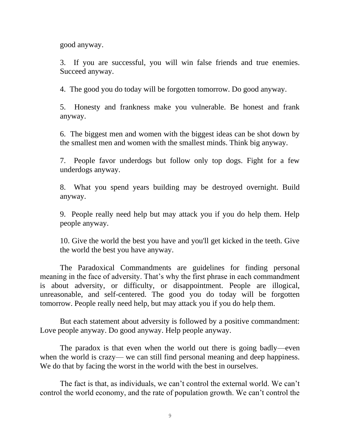good anyway.

3. If you are successful, you will win false friends and true enemies. Succeed anyway.

4. The good you do today will be forgotten tomorrow. Do good anyway.

5. Honesty and frankness make you vulnerable. Be honest and frank anyway.

6. The biggest men and women with the biggest ideas can be shot down by the smallest men and women with the smallest minds. Think big anyway.

7. People favor underdogs but follow only top dogs. Fight for a few underdogs anyway.

8. What you spend years building may be destroyed overnight. Build anyway.

9. People really need help but may attack you if you do help them. Help people anyway.

10. Give the world the best you have and you'll get kicked in the teeth. Give the world the best you have anyway.

The Paradoxical Commandments are guidelines for finding personal meaning in the face of adversity. That's why the first phrase in each commandment is about adversity, or difficulty, or disappointment. People are illogical, unreasonable, and self-centered. The good you do today will be forgotten tomorrow. People really need help, but may attack you if you do help them.

But each statement about adversity is followed by a positive commandment: Love people anyway. Do good anyway. Help people anyway.

The paradox is that even when the world out there is going badly—even when the world is crazy— we can still find personal meaning and deep happiness. We do that by facing the worst in the world with the best in ourselves.

The fact is that, as individuals, we can't control the external world. We can't control the world economy, and the rate of population growth. We can't control the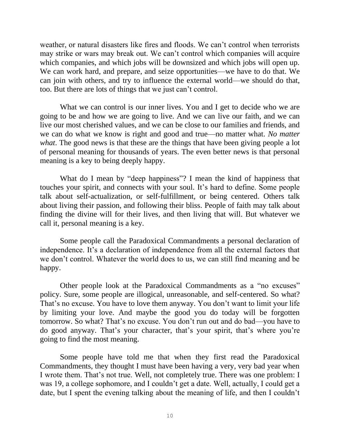weather, or natural disasters like fires and floods. We can't control when terrorists may strike or wars may break out. We can't control which companies will acquire which companies, and which jobs will be downsized and which jobs will open up. We can work hard, and prepare, and seize opportunities—we have to do that. We can join with others, and try to influence the external world—we should do that, too. But there are lots of things that we just can't control.

What we can control is our inner lives. You and I get to decide who we are going to be and how we are going to live. And we can live our faith, and we can live our most cherished values, and we can be close to our families and friends, and we can do what we know is right and good and true—no matter what. *No matter what*. The good news is that these are the things that have been giving people a lot of personal meaning for thousands of years. The even better news is that personal meaning is a key to being deeply happy.

What do I mean by "deep happiness"? I mean the kind of happiness that touches your spirit, and connects with your soul. It's hard to define. Some people talk about self-actualization, or self-fulfillment, or being centered. Others talk about living their passion, and following their bliss. People of faith may talk about finding the divine will for their lives, and then living that will. But whatever we call it, personal meaning is a key.

Some people call the Paradoxical Commandments a personal declaration of independence. It's a declaration of independence from all the external factors that we don't control. Whatever the world does to us, we can still find meaning and be happy.

Other people look at the Paradoxical Commandments as a "no excuses" policy. Sure, some people are illogical, unreasonable, and self-centered. So what? That's no excuse. You have to love them anyway. You don't want to limit your life by limiting your love. And maybe the good you do today will be forgotten tomorrow. So what? That's no excuse. You don't run out and do bad—you have to do good anyway. That's your character, that's your spirit, that's where you're going to find the most meaning.

Some people have told me that when they first read the Paradoxical Commandments, they thought I must have been having a very, very bad year when I wrote them. That's not true. Well, not completely true. There was one problem: I was 19, a college sophomore, and I couldn't get a date. Well, actually, I could get a date, but I spent the evening talking about the meaning of life, and then I couldn't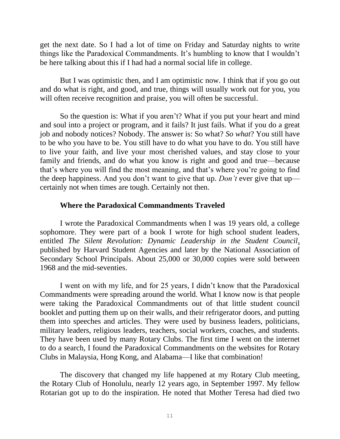get the next date. So I had a lot of time on Friday and Saturday nights to write things like the Paradoxical Commandments. It's humbling to know that I wouldn't be here talking about this if I had had a normal social life in college.

But I was optimistic then, and I am optimistic now. I think that if you go out and do what is right, and good, and true, things will usually work out for you, you will often receive recognition and praise, you will often be successful.

So the question is: What if you aren't? What if you put your heart and mind and soul into a project or program, and it fails? It just fails. What if you do a great job and nobody notices? Nobody. The answer is: So what? *So what*? You still have to be who you have to be. You still have to do what you have to do. You still have to live your faith, and live your most cherished values, and stay close to your family and friends, and do what you know is right and good and true—because that's where you will find the most meaning, and that's where you're going to find the deep happiness. And you don't want to give that up. *Don't* ever give that up certainly not when times are tough. Certainly not then.

## **Where the Paradoxical Commandments Traveled**

I wrote the Paradoxical Commandments when I was 19 years old, a college sophomore. They were part of a book I wrote for high school student leaders, entitled *The Silent Revolution: Dynamic Leadership in the Student Council*, published by Harvard Student Agencies and later by the National Association of Secondary School Principals. About 25,000 or 30,000 copies were sold between 1968 and the mid-seventies.

I went on with my life, and for 25 years, I didn't know that the Paradoxical Commandments were spreading around the world. What I know now is that people were taking the Paradoxical Commandments out of that little student council booklet and putting them up on their walls, and their refrigerator doors, and putting them into speeches and articles. They were used by business leaders, politicians, military leaders, religious leaders, teachers, social workers, coaches, and students. They have been used by many Rotary Clubs. The first time I went on the internet to do a search, I found the Paradoxical Commandments on the websites for Rotary Clubs in Malaysia, Hong Kong, and Alabama—I like that combination!

The discovery that changed my life happened at my Rotary Club meeting, the Rotary Club of Honolulu, nearly 12 years ago, in September 1997. My fellow Rotarian got up to do the inspiration. He noted that Mother Teresa had died two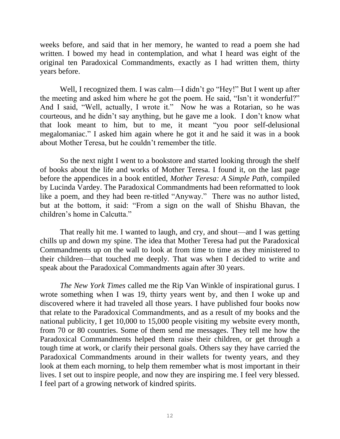weeks before, and said that in her memory, he wanted to read a poem she had written. I bowed my head in contemplation, and what I heard was eight of the original ten Paradoxical Commandments, exactly as I had written them, thirty years before.

Well, I recognized them. I was calm—I didn't go "Hey!" But I went up after the meeting and asked him where he got the poem. He said, "Isn't it wonderful?" And I said, "Well, actually, I wrote it." Now he was a Rotarian, so he was courteous, and he didn't say anything, but he gave me a look. I don't know what that look meant to him, but to me, it meant "you poor self-delusional megalomaniac." I asked him again where he got it and he said it was in a book about Mother Teresa, but he couldn't remember the title.

So the next night I went to a bookstore and started looking through the shelf of books about the life and works of Mother Teresa. I found it, on the last page before the appendices in a book entitled, *Mother Teresa: A Simple Path*, compiled by Lucinda Vardey. The Paradoxical Commandments had been reformatted to look like a poem, and they had been re-titled "Anyway." There was no author listed, but at the bottom, it said: "From a sign on the wall of Shishu Bhavan, the children's home in Calcutta."

That really hit me. I wanted to laugh, and cry, and shout—and I was getting chills up and down my spine. The idea that Mother Teresa had put the Paradoxical Commandments up on the wall to look at from time to time as they ministered to their children—that touched me deeply. That was when I decided to write and speak about the Paradoxical Commandments again after 30 years.

*The New York Times* called me the Rip Van Winkle of inspirational gurus. I wrote something when I was 19, thirty years went by, and then I woke up and discovered where it had traveled all those years. I have published four books now that relate to the Paradoxical Commandments, and as a result of my books and the national publicity, I get 10,000 to 15,000 people visiting my website every month, from 70 or 80 countries. Some of them send me messages. They tell me how the Paradoxical Commandments helped them raise their children, or get through a tough time at work, or clarify their personal goals. Others say they have carried the Paradoxical Commandments around in their wallets for twenty years, and they look at them each morning, to help them remember what is most important in their lives. I set out to inspire people, and now they are inspiring me. I feel very blessed. I feel part of a growing network of kindred spirits.